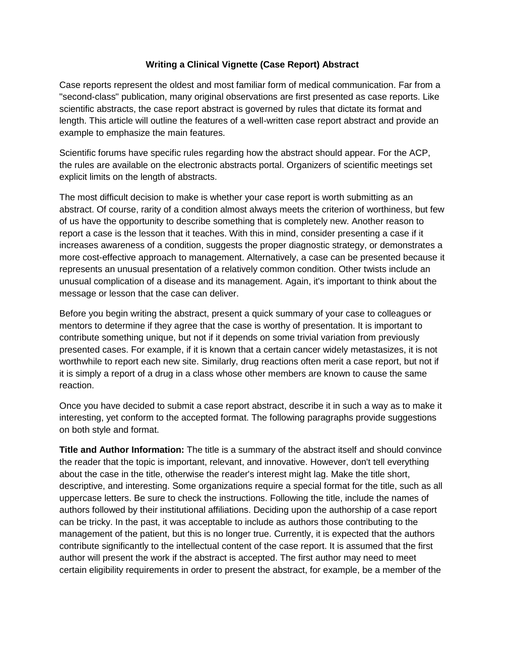## **Writing a Clinical Vignette (Case Report) Abstract**

Case reports represent the oldest and most familiar form of medical communication. Far from a "second-class" publication, many original observations are first presented as case reports. Like scientific abstracts, the case report abstract is governed by rules that dictate its format and length. This article will outline the features of a well-written case report abstract and provide an example to emphasize the main features.

Scientific forums have specific rules regarding how the abstract should appear. For the ACP, the rules are available on the electronic abstracts portal. Organizers of scientific meetings set explicit limits on the length of abstracts.

The most difficult decision to make is whether your case report is worth submitting as an abstract. Of course, rarity of a condition almost always meets the criterion of worthiness, but few of us have the opportunity to describe something that is completely new. Another reason to report a case is the lesson that it teaches. With this in mind, consider presenting a case if it increases awareness of a condition, suggests the proper diagnostic strategy, or demonstrates a more cost-effective approach to management. Alternatively, a case can be presented because it represents an unusual presentation of a relatively common condition. Other twists include an unusual complication of a disease and its management. Again, it's important to think about the message or lesson that the case can deliver.

Before you begin writing the abstract, present a quick summary of your case to colleagues or mentors to determine if they agree that the case is worthy of presentation. It is important to contribute something unique, but not if it depends on some trivial variation from previously presented cases. For example, if it is known that a certain cancer widely metastasizes, it is not worthwhile to report each new site. Similarly, drug reactions often merit a case report, but not if it is simply a report of a drug in a class whose other members are known to cause the same reaction.

Once you have decided to submit a case report abstract, describe it in such a way as to make it interesting, yet conform to the accepted format. The following paragraphs provide suggestions on both style and format.

**Title and Author Information:** The title is a summary of the abstract itself and should convince the reader that the topic is important, relevant, and innovative. However, don't tell everything about the case in the title, otherwise the reader's interest might lag. Make the title short, descriptive, and interesting. Some organizations require a special format for the title, such as all uppercase letters. Be sure to check the instructions. Following the title, include the names of authors followed by their institutional affiliations. Deciding upon the authorship of a case report can be tricky. In the past, it was acceptable to include as authors those contributing to the management of the patient, but this is no longer true. Currently, it is expected that the authors contribute significantly to the intellectual content of the case report. It is assumed that the first author will present the work if the abstract is accepted. The first author may need to meet certain eligibility requirements in order to present the abstract, for example, be a member of the